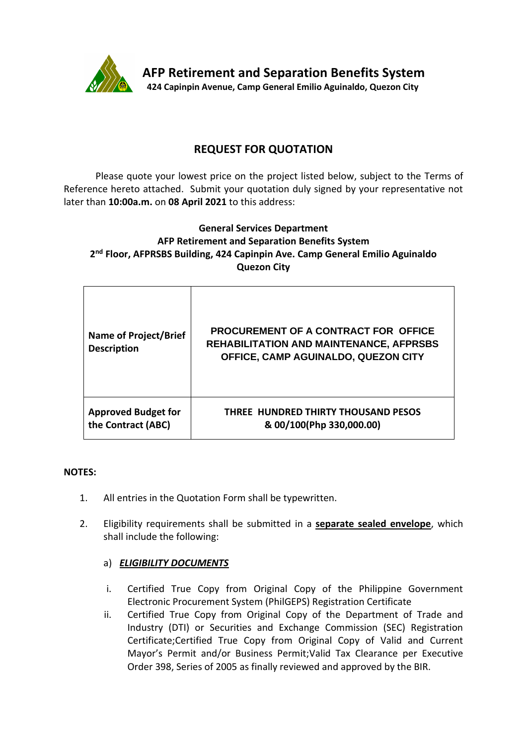

## **REQUEST FOR QUOTATION**

Please quote your lowest price on the project listed below, subject to the Terms of Reference hereto attached. Submit your quotation duly signed by your representative not later than **10:00a.m.** on **08 April 2021** to this address:

## **General Services Department AFP Retirement and Separation Benefits System 2 nd Floor, AFPRSBS Building, 424 Capinpin Ave. Camp General Emilio Aguinaldo Quezon City**

| Name of Project/Brief<br><b>Description</b> | PROCUREMENT OF A CONTRACT FOR OFFICE<br><b>REHABILITATION AND MAINTENANCE, AFPRSBS</b><br>OFFICE, CAMP AGUINALDO, QUEZON CITY |
|---------------------------------------------|-------------------------------------------------------------------------------------------------------------------------------|
| <b>Approved Budget for</b>                  | THREE HUNDRED THIRTY THOUSAND PESOS                                                                                           |
| the Contract (ABC)                          | & 00/100(Php 330,000.00)                                                                                                      |

#### **NOTES:**

- 1. All entries in the Quotation Form shall be typewritten.
- 2. Eligibility requirements shall be submitted in a **separate sealed envelope**, which shall include the following:

## a) *ELIGIBILITY DOCUMENTS*

- i. Certified True Copy from Original Copy of the Philippine Government Electronic Procurement System (PhilGEPS) Registration Certificate
- ii. Certified True Copy from Original Copy of the Department of Trade and Industry (DTI) or Securities and Exchange Commission (SEC) Registration Certificate;Certified True Copy from Original Copy of Valid and Current Mayor's Permit and/or Business Permit;Valid Tax Clearance per Executive Order 398, Series of 2005 as finally reviewed and approved by the BIR.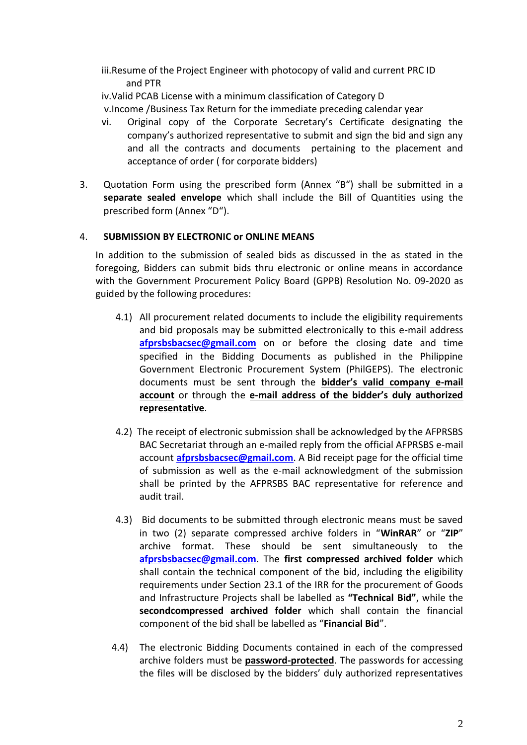iii.Resume of the Project Engineer with photocopy of valid and current PRC ID and PTR

iv.Valid PCAB License with a minimum classification of Category D

v.Income /Business Tax Return for the immediate preceding calendar year

- vi. Original copy of the Corporate Secretary's Certificate designating the company's authorized representative to submit and sign the bid and sign any and all the contracts and documents pertaining to the placement and acceptance of order ( for corporate bidders)
- 3. Quotation Form using the prescribed form (Annex "B") shall be submitted in a **separate sealed envelope** which shall include the Bill of Quantities using the prescribed form (Annex "D").

## 4. **SUBMISSION BY ELECTRONIC or ONLINE MEANS**

In addition to the submission of sealed bids as discussed in the as stated in the foregoing, Bidders can submit bids thru electronic or online means in accordance with the Government Procurement Policy Board (GPPB) Resolution No. 09-2020 as guided by the following procedures:

- 4.1) All procurement related documents to include the eligibility requirements and bid proposals may be submitted electronically to this e-mail address [afprsbsbacsec@gmail.com](mailto:afprsbsbacsec@gmail.com) on or before the closing date and time specified in the Bidding Documents as published in the Philippine Government Electronic Procurement System (PhilGEPS). The electronic documents must be sent through the **bidder's valid company e-mail account** or through the **e-mail address of the bidder's duly authorized representative**.
- 4.2) The receipt of electronic submission shall be acknowledged by the AFPRSBS BAC Secretariat through an e-mailed reply from the official AFPRSBS e-mail account **[afprsbsbacsec@gmail.com](mailto:afprsbsbacsec@gmail.com)**. A Bid receipt page for the official time of submission as well as the e-mail acknowledgment of the submission shall be printed by the AFPRSBS BAC representative for reference and audit trail.
- 4.3) Bid documents to be submitted through electronic means must be saved in two (2) separate compressed archive folders in "**WinRAR**" or "**ZIP**" archive format. These should be sent simultaneously to the **[afprsbsbacsec@gmail.com](mailto:afprsbsbacsec@gmail.com)**. The **first compressed archived folder** which shall contain the technical component of the bid, including the eligibility requirements under Section 23.1 of the IRR for the procurement of Goods and Infrastructure Projects shall be labelled as **"Technical Bid"**, while the **secondcompressed archived folder** which shall contain the financial component of the bid shall be labelled as "**Financial Bid**".
- 4.4) The electronic Bidding Documents contained in each of the compressed archive folders must be **password-protected**. The passwords for accessing the files will be disclosed by the bidders' duly authorized representatives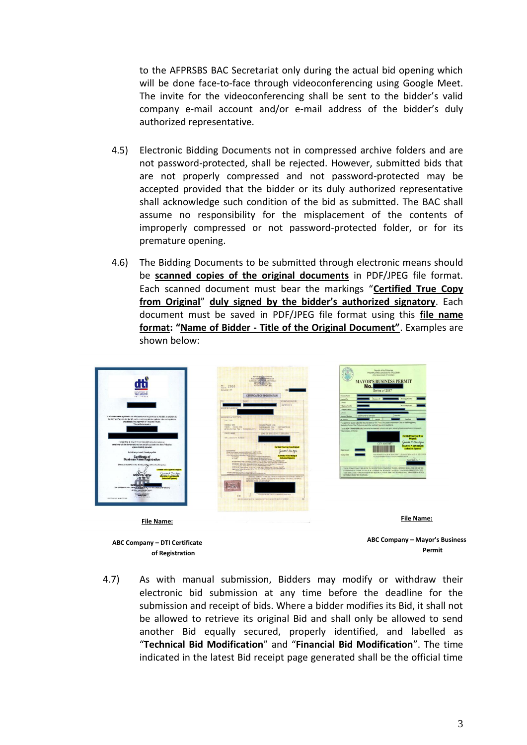to the AFPRSBS BAC Secretariat only during the actual bid opening which will be done face-to-face through videoconferencing using Google Meet. The invite for the videoconferencing shall be sent to the bidder's valid company e-mail account and/or e-mail address of the bidder's duly authorized representative.

- 4.5) Electronic Bidding Documents not in compressed archive folders and are not password-protected, shall be rejected. However, submitted bids that are not properly compressed and not password-protected may be accepted provided that the bidder or its duly authorized representative shall acknowledge such condition of the bid as submitted. The BAC shall assume no responsibility for the misplacement of the contents of improperly compressed or not password-protected folder, or for its premature opening.
- 4.6) The Bidding Documents to be submitted through electronic means should be **scanned copies of the original documents** in PDF/JPEG file format. Each scanned document must bear the markings "**Certified True Copy from Original**" **duly signed by the bidder's authorized signatory**. Each document must be saved in PDF/JPEG file format using this **file name format: "Name of Bidder - Title of the Original Document"**. Examples are shown below:



**ABC Company – DTI Certificate of Registration**

**ABC Company – Mayor's Business Permit** 

4.7) As with manual submission, Bidders may modify or withdraw their electronic bid submission at any time before the deadline for the submission and receipt of bids. Where a bidder modifies its Bid, it shall not be allowed to retrieve its original Bid and shall only be allowed to send another Bid equally secured, properly identified, and labelled as "**Technical Bid Modification**" and "**Financial Bid Modification**". The time indicated in the latest Bid receipt page generated shall be the official time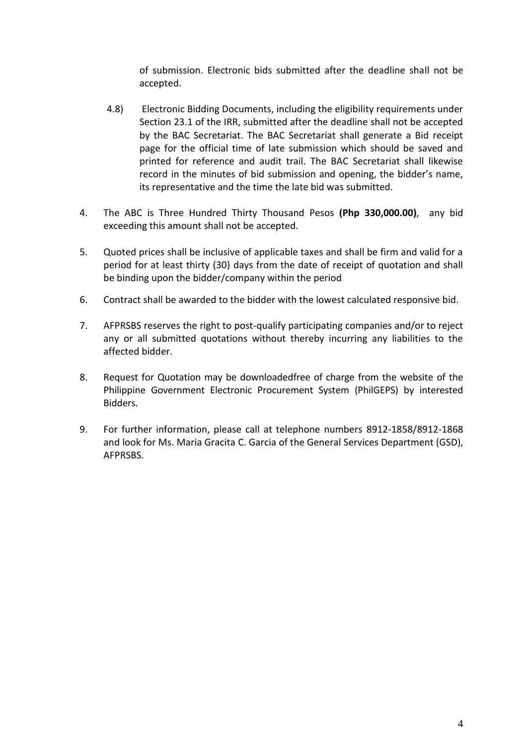of submission. Electronic bids submitted after the deadline shall not be accepted.

- 4.8) Electronic Bidding Documents, including the eligibility requirements under Section 23.1 of the IRR, submitted after the deadline shall not be accepted by the BAC Secretariat. The BAC Secretariat shall generate a Bid receipt page for the official time of late submission which should be saved and printed for reference and audit trail. The BAC Secretariat shall likewise record in the minutes of bid submission and opening, the bidder's name, its representative and the time the late bid was submitted.
- 4. The ABC is Three Hundred Thirty Thousand Pesos **(Php 330,000.00)**, any bid exceeding this amount shall not be accepted.
- 5. Quoted prices shall be inclusive of applicable taxes and shall be firm and valid for a period for at least thirty (30) days from the date of receipt of quotation and shall be binding upon the bidder/company within the period
- 6. Contract shall be awarded to the bidder with the lowest calculated responsive bid.
- 7. AFPRSBS reserves the right to post-qualify participating companies and/or to reject any or all submitted quotations without thereby incurring any liabilities to the affected bidder.
- 8. Request for Quotation may be downloadedfree of charge from the website of the Philippine Government Electronic Procurement System (PhilGEPS) by interested Bidders.
- 9. For further information, please call at telephone numbers 8912-1858/8912-1868 and look for Ms. Maria Gracita C. Garcia of the General Services Department (GSD), AFPRSBS.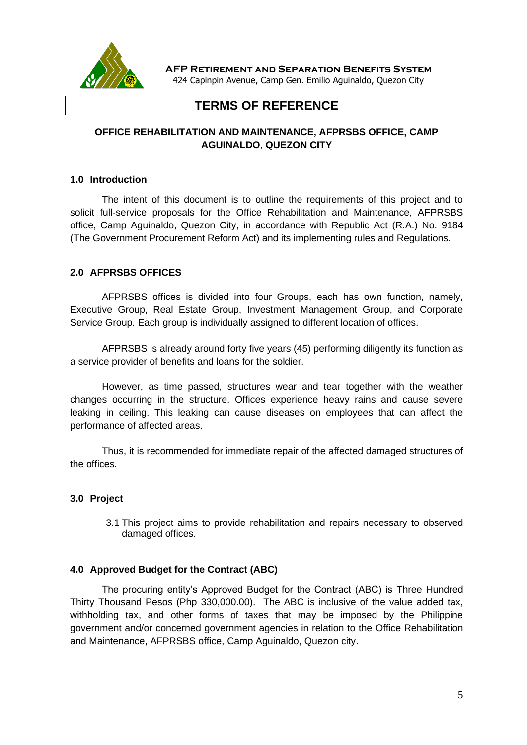

**AFP Retirement and Separation Benefits System**

424 Capinpin Avenue, Camp Gen. Emilio Aguinaldo, Quezon City

## **TERMS OF REFERENCE**

## **OFFICE REHABILITATION AND MAINTENANCE, AFPRSBS OFFICE, CAMP AGUINALDO, QUEZON CITY**

#### **1.0 Introduction**

The intent of this document is to outline the requirements of this project and to solicit full-service proposals for the Office Rehabilitation and Maintenance, AFPRSBS office, Camp Aguinaldo, Quezon City, in accordance with Republic Act (R.A.) No. 9184 (The Government Procurement Reform Act) and its implementing rules and Regulations.

#### **2.0 AFPRSBS OFFICES**

AFPRSBS offices is divided into four Groups, each has own function, namely, Executive Group, Real Estate Group, Investment Management Group, and Corporate Service Group. Each group is individually assigned to different location of offices.

AFPRSBS is already around forty five years (45) performing diligently its function as a service provider of benefits and loans for the soldier.

However, as time passed, structures wear and tear together with the weather changes occurring in the structure. Offices experience heavy rains and cause severe leaking in ceiling. This leaking can cause diseases on employees that can affect the performance of affected areas.

Thus, it is recommended for immediate repair of the affected damaged structures of the offices.

## **3.0 Project**

3.1 This project aims to provide rehabilitation and repairs necessary to observed damaged offices.

#### **4.0 Approved Budget for the Contract (ABC)**

The procuring entity's Approved Budget for the Contract (ABC) is Three Hundred Thirty Thousand Pesos (Php 330,000.00). The ABC is inclusive of the value added tax, withholding tax, and other forms of taxes that may be imposed by the Philippine government and/or concerned government agencies in relation to the Office Rehabilitation and Maintenance, AFPRSBS office, Camp Aguinaldo, Quezon city.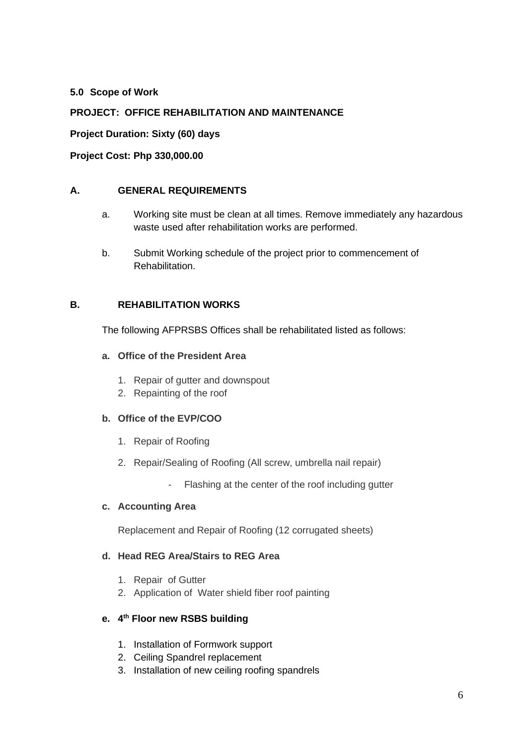### **5.0 Scope of Work**

## **PROJECT: OFFICE REHABILITATION AND MAINTENANCE**

#### **Project Duration: Sixty (60) days**

#### **Project Cost: Php 330,000.00**

#### **A. GENERAL REQUIREMENTS**

- a. Working site must be clean at all times. Remove immediately any hazardous waste used after rehabilitation works are performed.
- b. Submit Working schedule of the project prior to commencement of Rehabilitation.

#### **B. REHABILITATION WORKS**

The following AFPRSBS Offices shall be rehabilitated listed as follows:

#### **a. Office of the President Area**

- 1. Repair of gutter and downspout
- 2. Repainting of the roof

#### **b. Office of the EVP/COO**

- 1. Repair of Roofing
- 2. Repair/Sealing of Roofing (All screw, umbrella nail repair)
	- Flashing at the center of the roof including gutter

#### **c. Accounting Area**

Replacement and Repair of Roofing (12 corrugated sheets)

#### **d. Head REG Area/Stairs to REG Area**

- 1. Repair of Gutter
- 2. Application of Water shield fiber roof painting

#### **e. 4 th Floor new RSBS building**

- 1. Installation of Formwork support
- 2. Ceiling Spandrel replacement
- 3. Installation of new ceiling roofing spandrels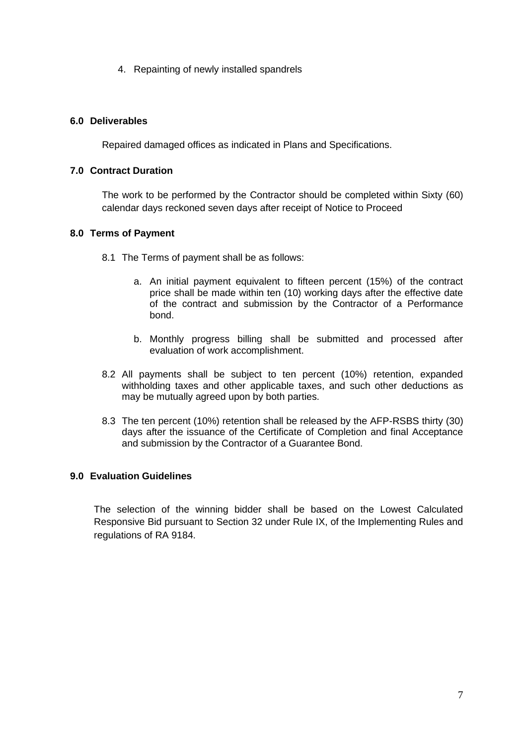4. Repainting of newly installed spandrels

#### **6.0 Deliverables**

Repaired damaged offices as indicated in Plans and Specifications.

#### **7.0 Contract Duration**

The work to be performed by the Contractor should be completed within Sixty (60) calendar days reckoned seven days after receipt of Notice to Proceed

#### **8.0 Terms of Payment**

- 8.1 The Terms of payment shall be as follows:
	- a. An initial payment equivalent to fifteen percent (15%) of the contract price shall be made within ten (10) working days after the effective date of the contract and submission by the Contractor of a Performance bond.
	- b. Monthly progress billing shall be submitted and processed after evaluation of work accomplishment.
- 8.2 All payments shall be subject to ten percent (10%) retention, expanded withholding taxes and other applicable taxes, and such other deductions as may be mutually agreed upon by both parties.
- 8.3 The ten percent (10%) retention shall be released by the AFP-RSBS thirty (30) days after the issuance of the Certificate of Completion and final Acceptance and submission by the Contractor of a Guarantee Bond.

#### **9.0 Evaluation Guidelines**

The selection of the winning bidder shall be based on the Lowest Calculated Responsive Bid pursuant to Section 32 under Rule IX, of the Implementing Rules and regulations of RA 9184.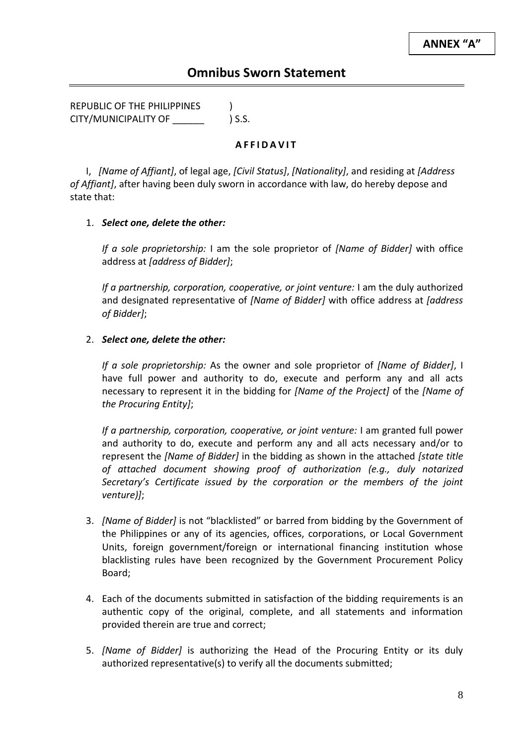REPUBLIC OF THE PHILIPPINES ) CITY/MUNICIPALITY OF \_\_\_\_\_\_ ) S.S.

#### **A F F I D A V I T**

I, *[Name of Affiant]*, of legal age, *[Civil Status]*, *[Nationality]*, and residing at *[Address of Affiant]*, after having been duly sworn in accordance with law, do hereby depose and state that:

## 1. *Select one, delete the other:*

*If a sole proprietorship:* I am the sole proprietor of *[Name of Bidder]* with office address at *[address of Bidder]*;

*If a partnership, corporation, cooperative, or joint venture:* I am the duly authorized and designated representative of *[Name of Bidder]* with office address at *[address of Bidder]*;

#### 2. *Select one, delete the other:*

*If a sole proprietorship:* As the owner and sole proprietor of *[Name of Bidder]*, I have full power and authority to do, execute and perform any and all acts necessary to represent it in the bidding for *[Name of the Project]* of the *[Name of the Procuring Entity]*;

*If a partnership, corporation, cooperative, or joint venture:* I am granted full power and authority to do, execute and perform any and all acts necessary and/or to represent the *[Name of Bidder]* in the bidding as shown in the attached *[state title of attached document showing proof of authorization (e.g., duly notarized Secretary's Certificate issued by the corporation or the members of the joint venture)]*;

- 3. *[Name of Bidder]* is not "blacklisted" or barred from bidding by the Government of the Philippines or any of its agencies, offices, corporations, or Local Government Units, foreign government/foreign or international financing institution whose blacklisting rules have been recognized by the Government Procurement Policy Board;
- 4. Each of the documents submitted in satisfaction of the bidding requirements is an authentic copy of the original, complete, and all statements and information provided therein are true and correct;
- 5. *[Name of Bidder]* is authorizing the Head of the Procuring Entity or its duly authorized representative(s) to verify all the documents submitted;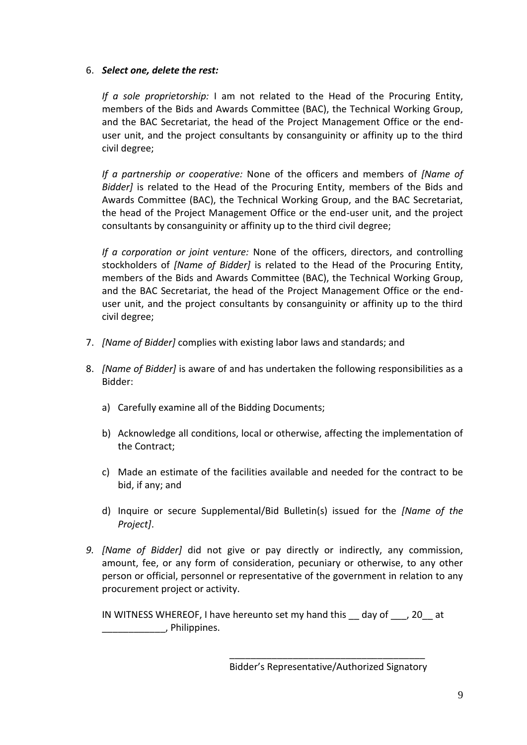### 6. *Select one, delete the rest:*

*If a sole proprietorship:* I am not related to the Head of the Procuring Entity, members of the Bids and Awards Committee (BAC), the Technical Working Group, and the BAC Secretariat, the head of the Project Management Office or the enduser unit, and the project consultants by consanguinity or affinity up to the third civil degree;

*If a partnership or cooperative:* None of the officers and members of *[Name of Bidder]* is related to the Head of the Procuring Entity, members of the Bids and Awards Committee (BAC), the Technical Working Group, and the BAC Secretariat, the head of the Project Management Office or the end-user unit, and the project consultants by consanguinity or affinity up to the third civil degree;

*If a corporation or joint venture:* None of the officers, directors, and controlling stockholders of *[Name of Bidder]* is related to the Head of the Procuring Entity, members of the Bids and Awards Committee (BAC), the Technical Working Group, and the BAC Secretariat, the head of the Project Management Office or the enduser unit, and the project consultants by consanguinity or affinity up to the third civil degree;

- 7. *[Name of Bidder]* complies with existing labor laws and standards; and
- 8. *[Name of Bidder]* is aware of and has undertaken the following responsibilities as a Bidder:
	- a) Carefully examine all of the Bidding Documents;
	- b) Acknowledge all conditions, local or otherwise, affecting the implementation of the Contract;
	- c) Made an estimate of the facilities available and needed for the contract to be bid, if any; and
	- d) Inquire or secure Supplemental/Bid Bulletin(s) issued for the *[Name of the Project]*.
- *9. [Name of Bidder]* did not give or pay directly or indirectly, any commission, amount, fee, or any form of consideration, pecuniary or otherwise, to any other person or official, personnel or representative of the government in relation to any procurement project or activity.

IN WITNESS WHEREOF, I have hereunto set my hand this \_\_ day of \_\_\_, 20\_\_ at \_\_\_\_\_\_\_\_\_\_\_\_, Philippines.

> \_\_\_\_\_\_\_\_\_\_\_\_\_\_\_\_\_\_\_\_\_\_\_\_\_\_\_\_\_\_\_\_\_\_\_\_\_ Bidder's Representative/Authorized Signatory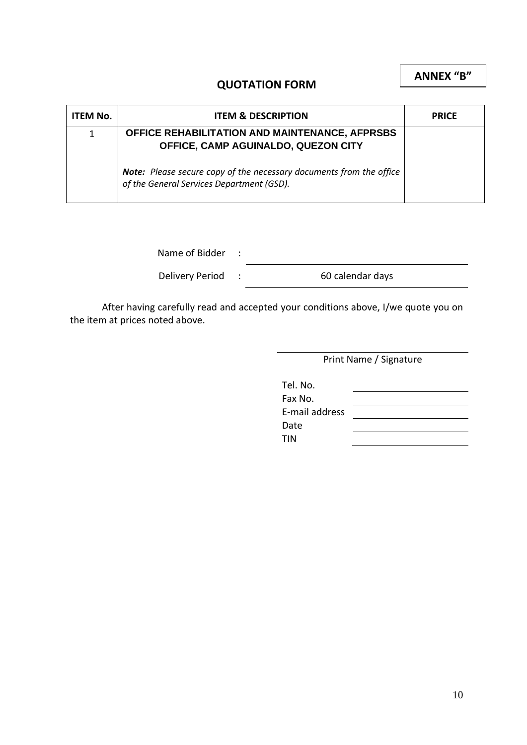## **ANNEX "B"**

## **QUOTATION FORM**

| <b>ITEM No.</b> | <b>ITEM &amp; DESCRIPTION</b>                                                                                           | <b>PRICE</b> |
|-----------------|-------------------------------------------------------------------------------------------------------------------------|--------------|
|                 | OFFICE REHABILITATION AND MAINTENANCE, AFPRSBS<br>OFFICE, CAMP AGUINALDO, QUEZON CITY                                   |              |
|                 | <b>Note:</b> Please secure copy of the necessary documents from the office<br>of the General Services Department (GSD). |              |

Name of Bidder :

Delivery Period : 60 calendar days

After having carefully read and accepted your conditions above, I/we quote you on the item at prices noted above.

Print Name / Signature

| Tel. No.       |  |
|----------------|--|
| Fax No.        |  |
| E-mail address |  |
| Date           |  |
| TIN            |  |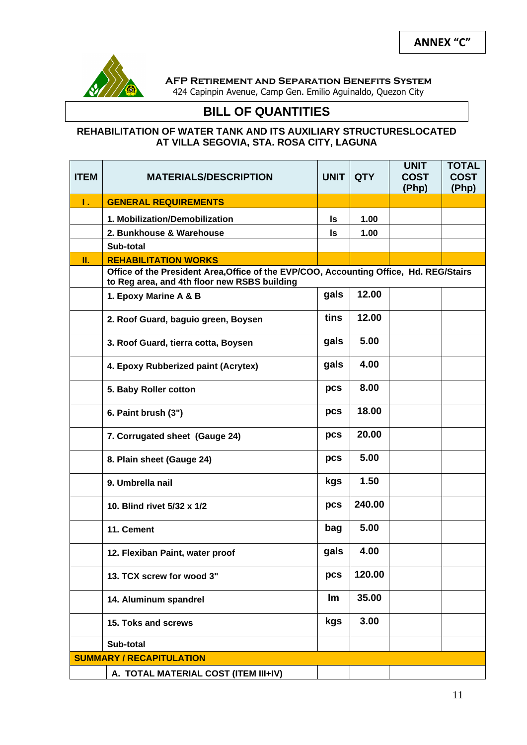

**AFP Retirement and Separation Benefits System**

424 Capinpin Avenue, Camp Gen. Emilio Aguinaldo, Quezon City

# **BILL OF QUANTITIES**

## **REHABILITATION OF WATER TANK AND ITS AUXILIARY STRUCTURESLOCATED AT VILLA SEGOVIA, STA. ROSA CITY, LAGUNA**

| <b>ITEM</b>    | <b>MATERIALS/DESCRIPTION</b>                                                                                                           | <b>UNIT</b> | <b>QTY</b> | <b>UNIT</b><br><b>COST</b><br>(Php) | <b>TOTAL</b><br><b>COST</b><br>(Php) |
|----------------|----------------------------------------------------------------------------------------------------------------------------------------|-------------|------------|-------------------------------------|--------------------------------------|
| $\mathbf{L}$ . | <b>GENERAL REQUIREMENTS</b>                                                                                                            |             |            |                                     |                                      |
|                | 1. Mobilization/Demobilization                                                                                                         | ls          | 1.00       |                                     |                                      |
|                | 2. Bunkhouse & Warehouse                                                                                                               | Is          | 1.00       |                                     |                                      |
|                | Sub-total                                                                                                                              |             |            |                                     |                                      |
| Ш.             | <b>REHABILITATION WORKS</b>                                                                                                            |             |            |                                     |                                      |
|                | Office of the President Area, Office of the EVP/COO, Accounting Office, Hd. REG/Stairs<br>to Reg area, and 4th floor new RSBS building |             |            |                                     |                                      |
|                | 1. Epoxy Marine A & B                                                                                                                  | gals        | 12.00      |                                     |                                      |
|                | 2. Roof Guard, baguio green, Boysen                                                                                                    | tins        | 12.00      |                                     |                                      |
|                | 3. Roof Guard, tierra cotta, Boysen                                                                                                    | gals        | 5.00       |                                     |                                      |
|                | 4. Epoxy Rubberized paint (Acrytex)                                                                                                    | gals        | 4.00       |                                     |                                      |
|                | 5. Baby Roller cotton                                                                                                                  | pcs         | 8.00       |                                     |                                      |
|                | 6. Paint brush (3")                                                                                                                    | pcs         | 18.00      |                                     |                                      |
|                | 7. Corrugated sheet (Gauge 24)                                                                                                         | pcs         | 20.00      |                                     |                                      |
|                | 8. Plain sheet (Gauge 24)                                                                                                              | pcs         | 5.00       |                                     |                                      |
|                | 9. Umbrella nail                                                                                                                       | kgs         | 1.50       |                                     |                                      |
|                | 10. Blind rivet 5/32 x 1/2                                                                                                             | pcs         | 240.00     |                                     |                                      |
|                | 11. Cement                                                                                                                             | bag         | 5.00       |                                     |                                      |
|                | 12. Flexiban Paint, water proof                                                                                                        | gals        | 4.00       |                                     |                                      |
|                | 13. TCX screw for wood 3"                                                                                                              | pcs         | 120.00     |                                     |                                      |
|                | 14. Aluminum spandrel                                                                                                                  | Im          | 35.00      |                                     |                                      |
|                | 15. Toks and screws                                                                                                                    | kgs         | 3.00       |                                     |                                      |
|                | Sub-total                                                                                                                              |             |            |                                     |                                      |
|                | <b>SUMMARY / RECAPITULATION</b>                                                                                                        |             |            |                                     |                                      |
|                | A. TOTAL MATERIAL COST (ITEM III+IV)                                                                                                   |             |            |                                     |                                      |